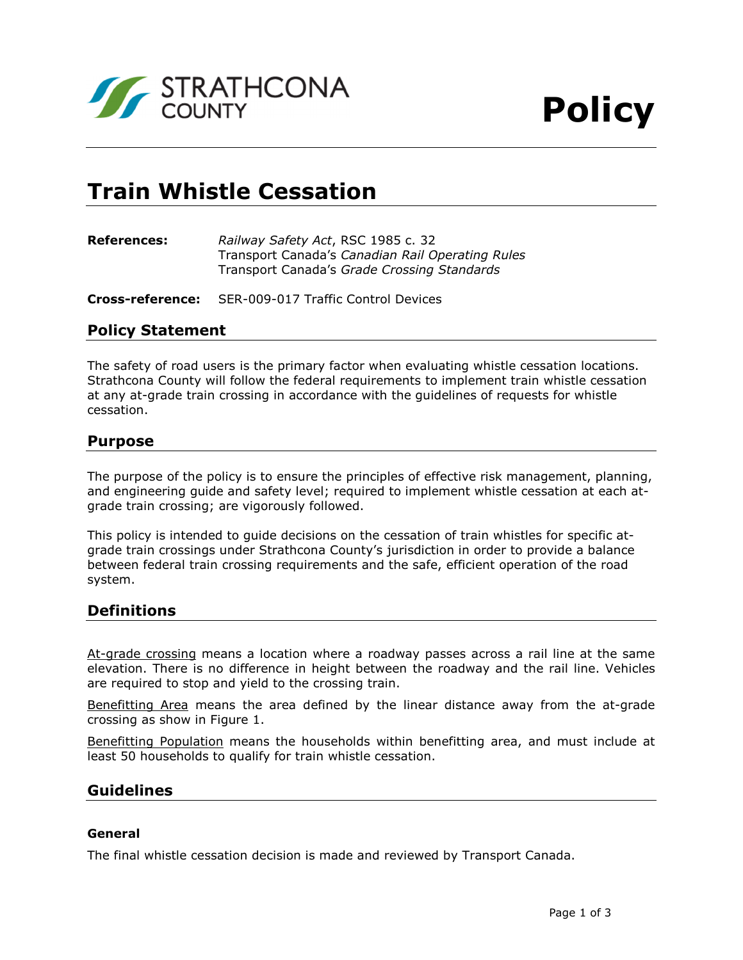

# **Train Whistle Cessation**

| <b>References:</b> | Railway Safety Act, RSC 1985 c. 32               |
|--------------------|--------------------------------------------------|
|                    | Transport Canada's Canadian Rail Operating Rules |
|                    | Transport Canada's Grade Crossing Standards      |

**Cross-reference:** SER-009-017 Traffic Control Devices

# **Policy Statement**

The safety of road users is the primary factor when evaluating whistle cessation locations. Strathcona County will follow the federal requirements to implement train whistle cessation at any at-grade train crossing in accordance with the guidelines of requests for whistle cessation.

## **Purpose**

The purpose of the policy is to ensure the principles of effective risk management, planning, and engineering guide and safety level; required to implement whistle cessation at each atgrade train crossing; are vigorously followed.

This policy is intended to guide decisions on the cessation of train whistles for specific atgrade train crossings under Strathcona County's jurisdiction in order to provide a balance between federal train crossing requirements and the safe, efficient operation of the road system.

# **Definitions**

At-grade crossing means a location where a roadway passes across a rail line at the same elevation. There is no difference in height between the roadway and the rail line. Vehicles are required to stop and yield to the crossing train.

Benefitting Area means the area defined by the linear distance away from the at-grade crossing as show in Figure 1.

Benefitting Population means the households within benefitting area, and must include at least 50 households to qualify for train whistle cessation.

# **Guidelines**

#### **General**

The final whistle cessation decision is made and reviewed by Transport Canada.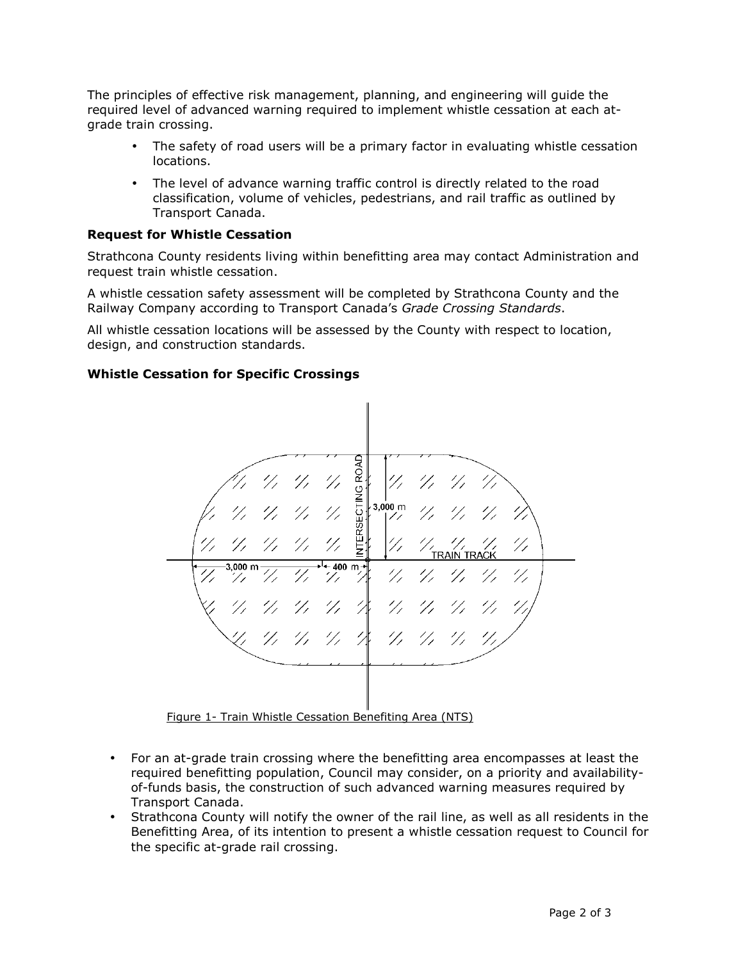The principles of effective risk management, planning, and engineering will guide the required level of advanced warning required to implement whistle cessation at each atgrade train crossing.

- The safety of road users will be a primary factor in evaluating whistle cessation locations.
- The level of advance warning traffic control is directly related to the road classification, volume of vehicles, pedestrians, and rail traffic as outlined by Transport Canada.

## **Request for Whistle Cessation**

Strathcona County residents living within benefitting area may contact Administration and request train whistle cessation.

A whistle cessation safety assessment will be completed by Strathcona County and the Railway Company according to Transport Canada's *Grade Crossing Standards*.

All whistle cessation locations will be assessed by the County with respect to location, design, and construction standards.

#### **Whistle Cessation for Specific Crossings**



Figure 1- Train Whistle Cessation Benefiting Area (NTS)

- For an at-grade train crossing where the benefitting area encompasses at least the required benefitting population, Council may consider, on a priority and availabilityof-funds basis, the construction of such advanced warning measures required by Transport Canada.
- Strathcona County will notify the owner of the rail line, as well as all residents in the Benefitting Area, of its intention to present a whistle cessation request to Council for the specific at-grade rail crossing.